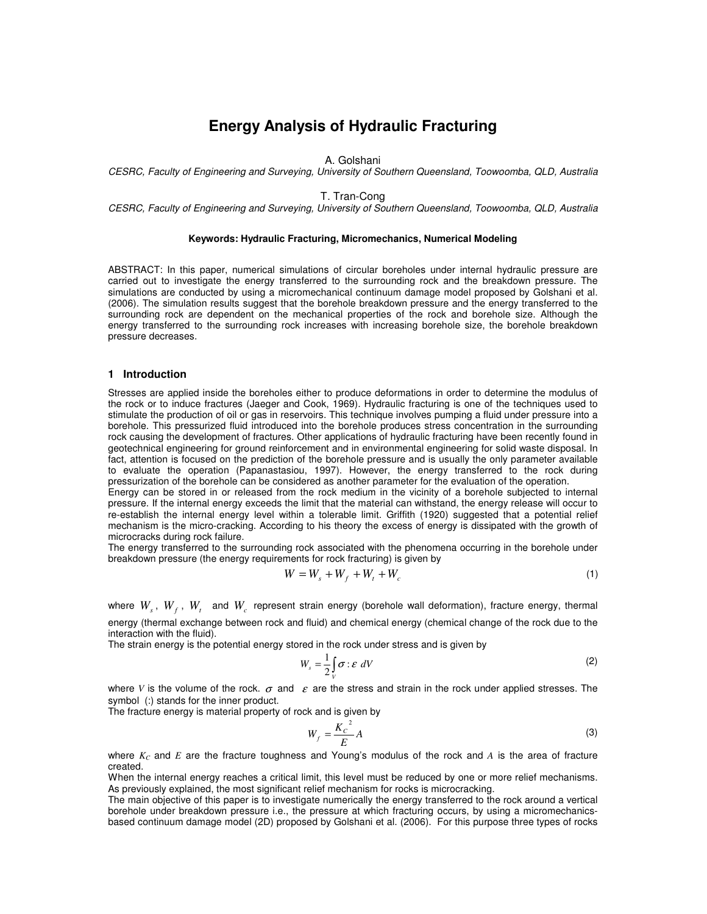# **Energy Analysis of Hydraulic Fracturing**

A. Golshani

CESRC, Faculty of Engineering and Surveying, University of Southern Queensland, Toowoomba, QLD, Australia

T. Tran-Cong

CESRC, Faculty of Engineering and Surveying, University of Southern Queensland, Toowoomba, QLD, Australia

#### **Keywords: Hydraulic Fracturing, Micromechanics, Numerical Modeling**

ABSTRACT: In this paper, numerical simulations of circular boreholes under internal hydraulic pressure are carried out to investigate the energy transferred to the surrounding rock and the breakdown pressure. The simulations are conducted by using a micromechanical continuum damage model proposed by Golshani et al. (2006). The simulation results suggest that the borehole breakdown pressure and the energy transferred to the surrounding rock are dependent on the mechanical properties of the rock and borehole size. Although the energy transferred to the surrounding rock increases with increasing borehole size, the borehole breakdown pressure decreases.

# **1 Introduction**

Stresses are applied inside the boreholes either to produce deformations in order to determine the modulus of the rock or to induce fractures (Jaeger and Cook, 1969). Hydraulic fracturing is one of the techniques used to stimulate the production of oil or gas in reservoirs. This technique involves pumping a fluid under pressure into a borehole. This pressurized fluid introduced into the borehole produces stress concentration in the surrounding rock causing the development of fractures. Other applications of hydraulic fracturing have been recently found in geotechnical engineering for ground reinforcement and in environmental engineering for solid waste disposal. In fact, attention is focused on the prediction of the borehole pressure and is usually the only parameter available to evaluate the operation (Papanastasiou, 1997). However, the energy transferred to the rock during pressurization of the borehole can be considered as another parameter for the evaluation of the operation.

Energy can be stored in or released from the rock medium in the vicinity of a borehole subjected to internal pressure. If the internal energy exceeds the limit that the material can withstand, the energy release will occur to re-establish the internal energy level within a tolerable limit. Griffith (1920) suggested that a potential relief mechanism is the micro-cracking. According to his theory the excess of energy is dissipated with the growth of microcracks during rock failure.

The energy transferred to the surrounding rock associated with the phenomena occurring in the borehole under breakdown pressure (the energy requirements for rock fracturing) is given by

$$
W = Ws + Wf + Wt + Wc
$$
\n
$$
\tag{1}
$$

where  $W_s$  ,  $W_f$  ,  $W_t$  and  $W_c$  represent strain energy (borehole wall deformation), fracture energy, thermal energy (thermal exchange between rock and fluid) and chemical energy (chemical change of the rock due to the interaction with the fluid).

The strain energy is the potential energy stored in the rock under stress and is given by

$$
W_s = \frac{1}{2} \int_V \sigma : \mathcal{E} \ dV \tag{2}
$$

where *V* is the volume of the rock.  $\sigma$  and  $\varepsilon$  are the stress and strain in the rock under applied stresses. The symbol (:) stands for the inner product.

The fracture energy is material property of rock and is given by

$$
W_f = \frac{K_c^2}{E} A \tag{3}
$$

where *K<sup>C</sup>* and *E* are the fracture toughness and Young's modulus of the rock and *A* is the area of fracture created.

When the internal energy reaches a critical limit, this level must be reduced by one or more relief mechanisms. As previously explained, the most significant relief mechanism for rocks is microcracking.

The main objective of this paper is to investigate numerically the energy transferred to the rock around a vertical borehole under breakdown pressure i.e., the pressure at which fracturing occurs, by using a micromechanicsbased continuum damage model (2D) proposed by Golshani et al. (2006). For this purpose three types of rocks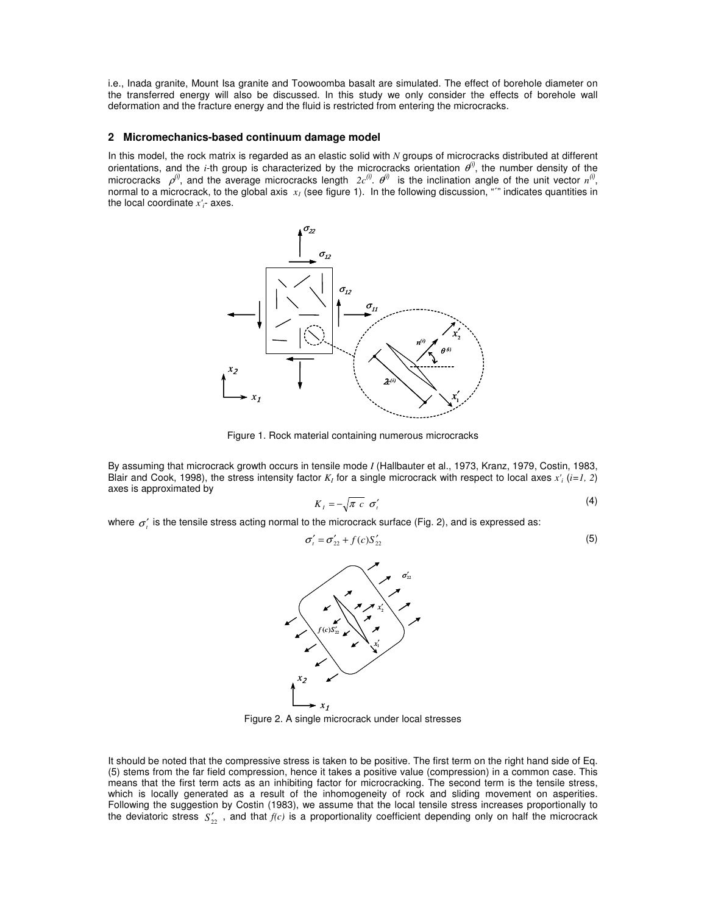i.e., Inada granite, Mount Isa granite and Toowoomba basalt are simulated. The effect of borehole diameter on the transferred energy will also be discussed. In this study we only consider the effects of borehole wall deformation and the fracture energy and the fluid is restricted from entering the microcracks.

# **2 Micromechanics-based continuum damage model**

In this model, the rock matrix is regarded as an elastic solid with *N* groups of microcracks distributed at different orientations, and the *i*-th group is characterized by the microcracks orientation  $\theta^0$ , the number density of the microcracks  $\rho^{(i)}$ , and the average microcracks length  $2c^{(i)}$ .  $\theta^{(i)}$  is the inclination angle of the unit vector  $n^{(i)}$ , normal to a microcrack, to the global axis x<sub>*I*</sub> (see figure 1). In the following discussion, "<sup>\*</sup>" indicates quantities in the local coordinate *x'<sup>i</sup>* - axes.



Figure 1. Rock material containing numerous microcracks

By assuming that microcrack growth occurs in tensile mode *I* (Hallbauter et al., 1973, Kranz, 1979, Costin, 1983, Blair and Cook, 1998), the stress intensity factor  $K_I$  for a single microcrack with respect to local axes  $x'_i$  ( $i=1, 2$ ) axes is approximated by

$$
K_I = -\sqrt{\pi} \ c \ \sigma'_i \tag{4}
$$

where  $\sigma_i'$  is the tensile stress acting normal to the microcrack surface (Fig. 2), and is expressed as:

$$
\sigma'_t = \sigma'_{22} + f(c)S'_{22} \tag{5}
$$



Figure 2. A single microcrack under local stresses

It should be noted that the compressive stress is taken to be positive. The first term on the right hand side of Eq. (5) stems from the far field compression, hence it takes a positive value (compression) in a common case. This means that the first term acts as an inhibiting factor for microcracking. The second term is the tensile stress, which is locally generated as a result of the inhomogeneity of rock and sliding movement on asperities. Following the suggestion by Costin (1983), we assume that the local tensile stress increases proportionally to the deviatoric stress  $S_{22}$ , and that  $f(c)$  is a proportionality coefficient depending only on half the microcrack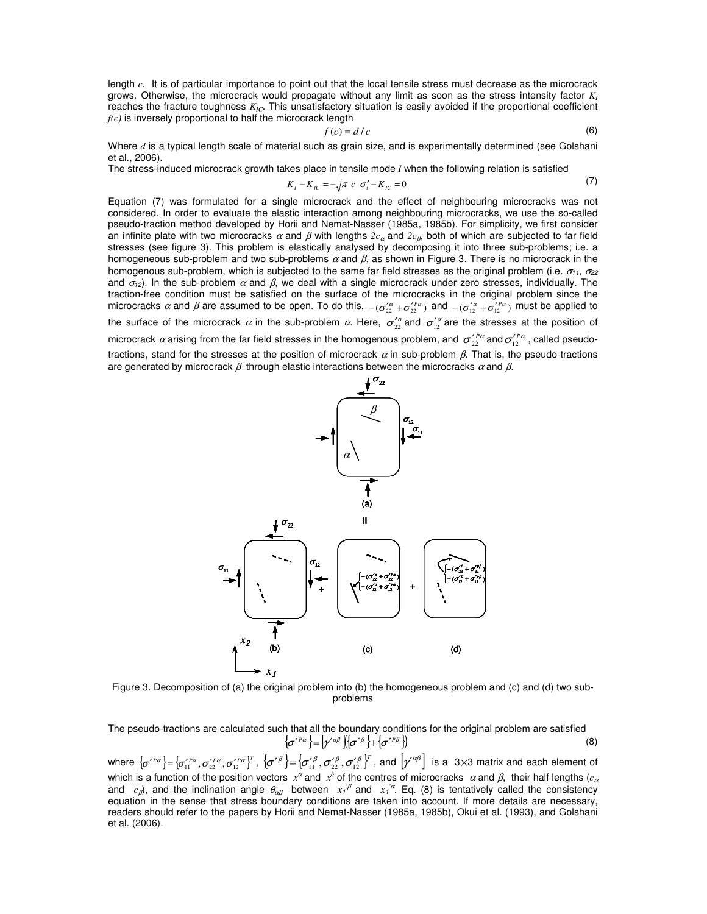length *c*. It is of particular importance to point out that the local tensile stress must decrease as the microcrack grows. Otherwise, the microcrack would propagate without any limit as soon as the stress intensity factor *K<sup>I</sup>* reaches the fracture toughness  $K<sub>IC</sub>$ . This unsatisfactory situation is easily avoided if the proportional coefficient *f(c)* is inversely proportional to half the microcrack length

$$
f(c) = d/c \tag{6}
$$

Where *d* is a typical length scale of material such as grain size, and is experimentally determined (see Golshani et al., 2006).

The stress-induced microcrack growth takes place in tensile mode *I* when the following relation is satisfied

$$
K_{I} - K_{IC} = -\sqrt{\pi c} \sigma'_{I} - K_{IC} = 0
$$
\n<sup>(7)</sup>

Equation (7) was formulated for a single microcrack and the effect of neighbouring microcracks was not considered. In order to evaluate the elastic interaction among neighbouring microcracks, we use the so-called pseudo-traction method developed by Horii and Nemat-Nasser (1985a, 1985b). For simplicity, we first consider an infinite plate with two microcracks  $\alpha$  and  $\beta$  with lengths  $2c_\alpha$  and  $2c_\beta$ , both of which are subjected to far field stresses (see figure 3). This problem is elastically analysed by decomposing it into three sub-problems; i.e. a homogeneous sub-problem and two sub-problems  $\alpha$  and  $\beta$ , as shown in Figure 3. There is no microcrack in the homogenous sub-problem, which is subjected to the same far field stresses as the original problem (i.e.  $\sigma_{11}$ ,  $\sigma_{22}$ and  $\sigma_{12}$ ). In the sub-problem  $\alpha$  and  $\beta$ , we deal with a single microcrack under zero stresses, individually. The traction-free condition must be satisfied on the surface of the microcracks in the original problem since the microcracks  $\alpha$  and  $\beta$  are assumed to be open. To do this,  $-(\sigma_{22}''+\sigma_{22}''^a)$  and  $-(\sigma_{12}''+\sigma_{12}''^a)$  must be applied to the surface of the microcrack  $\alpha$  in the sub-problem  $\alpha$ . Here,  $\sigma_{22}''$  and  $\sigma_{12}''$  are the stresses at the position of microcrack  $\alpha$  arising from the far field stresses in the homogenous problem, and  $\sigma'^{P\alpha}_{12}$  and  $\sigma'^{P\alpha}_{12}$  , called pseudotractions, stand for the stresses at the position of microcrack  $\alpha$  in sub-problem  $\beta$ . That is, the pseudo-tractions are generated by microcrack  $\beta$  through elastic interactions between the microcracks  $\alpha$  and  $\beta$ .



Figure 3. Decomposition of (a) the original problem into (b) the homogeneous problem and (c) and (d) two subproblems

The pseudo-tractions are calculated such that all the boundary conditions for the original problem are satisfied  $\{\sigma'^{P\alpha}\} = |\gamma'^{\alpha\beta}| \{ \sigma'^{\beta}\} + \{\sigma'^{\beta\beta}\}\$  (8)

where  $\{\sigma'^{Pa}\} = \{\sigma'^{Pa}_{11}, \sigma'^{pa}_{22}, \sigma'^{pa}_{12}\}^T$ ,  $\{\sigma'^{\beta}\} = \{\sigma'^{\beta}_{11}, \sigma'^{\beta}_{22}, \sigma'^{\beta}_{12}\}^T$ , and  $\left[\gamma'^{a\beta}\right]$  is a 3×3 matrix and each element of which is a function of the position vectors  $x^\alpha$  and  $x^b$  of the centres of microcracks  $\alpha$  and  $\beta$ , their half lengths ( $c_\alpha$ and  $c_{\beta}$ , and the inclination angle  $\theta_{\alpha\beta}$  between  $x_1^{\beta}$  and  $x_1^{\alpha}$ . Eq. (8) is tentatively called the consistency equation in the sense that stress boundary conditions are taken into account. If more details are necessary, readers should refer to the papers by Horii and Nemat-Nasser (1985a, 1985b), Okui et al. (1993), and Golshani et al. (2006).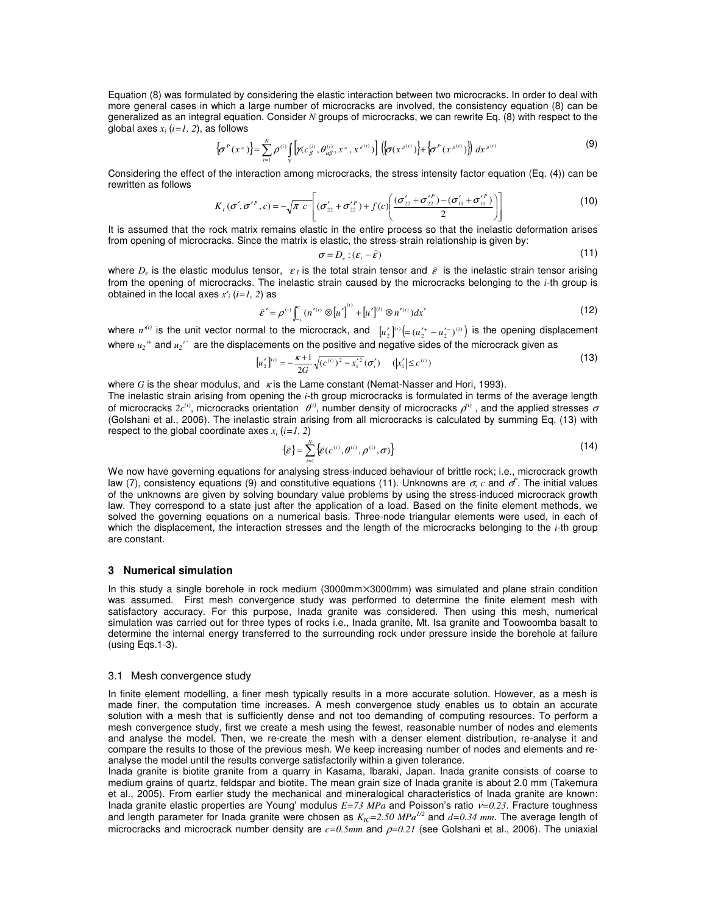Equation (8) was formulated by considering the elastic interaction between two microcracks. In order to deal with more general cases in which a large number of microcracks are involved, the consistency equation (8) can be generalized as an integral equation. Consider *N* groups of microcracks, we can rewrite Eq. (8) with respect to the global axes *x<sup>i</sup>* (*i=1, 2*), as follows

$$
\left\{\sigma^P(x^a)\right\} = \sum_{i=1}^N \rho^{(i)} \int_V \left[ \gamma(c_\beta^{(i)}, \theta_{\alpha\beta}^{(i)}, x^a, x^{\beta^{(i)}}) \right] \left( \left\{\sigma(x^{\beta^{(i)}})\right\} + \left\{\sigma^P(x^{\beta^{(i)}})\right\} \right] dx^{\beta^{(i)}} \tag{9}
$$

Considering the effect of the interaction among microcracks, the stress intensity factor equation (Eq. (4)) can be rewritten as follows

$$
K_{I}(\sigma', \sigma'^{P}, c) = -\sqrt{\pi c} \left[ (\sigma'_{22} + \sigma'^{P}_{22}) + f(c) \left( \frac{(\sigma'_{22} + \sigma'^{P}_{22}) - (\sigma'_{11} + \sigma'^{P}_{11})}{2} \right) \right]
$$
(10)

It is assumed that the rock matrix remains elastic in the entire process so that the inelastic deformation arises from opening of microcracks. Since the matrix is elastic, the stress-strain relationship is given by:

$$
\sigma = D_e : (\varepsilon_t - \hat{\varepsilon}) \tag{11}
$$

where  $D_e$  is the elastic modulus tensor,  $\varepsilon_t$  is the total strain tensor and  $\hat{\varepsilon}$  is the inelastic strain tensor arising from the opening of microcracks. The inelastic strain caused by the microcracks belonging to the *i*-th group is obtained in the local axes *x'<sup>i</sup>* (*i=1, 2*) as

$$
\hat{\varepsilon}' = \rho^{(i)} \int_{-c}^{c} (n'^{(i)} \otimes [u']^{(i)} + [u']^{(i)} \otimes n'^{(i)}) dx' \tag{12}
$$

where  $n^{(i)}$  is the unit vector normal to the microcrack, and  $[u_2']^{(i)}\bigl(=(u_2'^* - u_2'^{-})^{(i)}\bigr)$  is the opening displacement where  $u_2$ <sup>+</sup> and  $u_2$ <sup>+</sup> are the displacements on the positive and negative sides of the microcrack given as

$$
[u'_2]^{(i)} = -\frac{\kappa+1}{2G} \sqrt{(c^{(i)})^2 - x_1'^2} (\sigma'_i) \qquad (|x'_1| \le c^{(i)})
$$
\n(13)

where *G* is the shear modulus, and  $\kappa$  is the Lame constant (Nemat-Nasser and Hori, 1993).

The inelastic strain arising from opening the *i*-th group microcracks is formulated in terms of the average length of microcracks  $2c^{(i)}$ , microcracks orientation  $\theta^{(i)}$ , number density of microcracks  $\rho^{(i)}$ , and the applied stresses  $\sigma$ (Golshani et al., 2006). The inelastic strain arising from all microcracks is calculated by summing Eq. (13) with respect to the global coordinate axes *x<sup>i</sup>* (*i=1, 2*)

$$
\{\bar{\varepsilon}\} = \sum_{i=1}^{N} \left\{\bar{\varepsilon}(c^{(i)}, \theta^{(i)}, \rho^{(i)}, \sigma)\right\}
$$
 (14)

We now have governing equations for analysing stress-induced behaviour of brittle rock; i.e., microcrack growth law (7), consistency equations (9) and constitutive equations (11). Unknowns are  $\sigma$ , *c* and  $\sigma$ <sup>*c*</sup>. The initial values of the unknowns are given by solving boundary value problems by using the stress-induced microcrack growth law. They correspond to a state just after the application of a load. Based on the finite element methods, we solved the governing equations on a numerical basis. Three-node triangular elements were used, in each of which the displacement, the interaction stresses and the length of the microcracks belonging to the *i*-th group are constant.

# **3 Numerical simulation**

In this study a single borehole in rock medium (3000mm×3000mm) was simulated and plane strain condition was assumed. First mesh convergence study was performed to determine the finite element mesh with satisfactory accuracy. For this purpose, Inada granite was considered. Then using this mesh, numerical simulation was carried out for three types of rocks i.e., Inada granite, Mt. Isa granite and Toowoomba basalt to determine the internal energy transferred to the surrounding rock under pressure inside the borehole at failure (using Eqs.1-3).

#### 3.1 Mesh convergence study

In finite element modelling, a finer mesh typically results in a more accurate solution. However, as a mesh is made finer, the computation time increases. A mesh convergence study enables us to obtain an accurate solution with a mesh that is sufficiently dense and not too demanding of computing resources. To perform a mesh convergence study, first we create a mesh using the fewest, reasonable number of nodes and elements and analyse the model. Then, we re-create the mesh with a denser element distribution, re-analyse it and compare the results to those of the previous mesh. We keep increasing number of nodes and elements and reanalyse the model until the results converge satisfactorily within a given tolerance.

Inada granite is biotite granite from a quarry in Kasama, Ibaraki, Japan. Inada granite consists of coarse to medium grains of quartz, feldspar and biotite. The mean grain size of Inada granite is about 2.0 mm (Takemura et al., 2005). From earlier study the mechanical and mineralogical characteristics of Inada granite are known: Inada granite elastic properties are Young' modulus *E=73 MPa* and Poisson's ratio ν*=0.23*. Fracture toughness and length parameter for Inada granite were chosen as  $K_{IC} = 2.50$   $MPa^{1/2}$  and  $d = 0.34$  mm. The average length of microcracks and microcrack number density are *c=0.5mm* and ρ*=0.21* (see Golshani et al., 2006). The uniaxial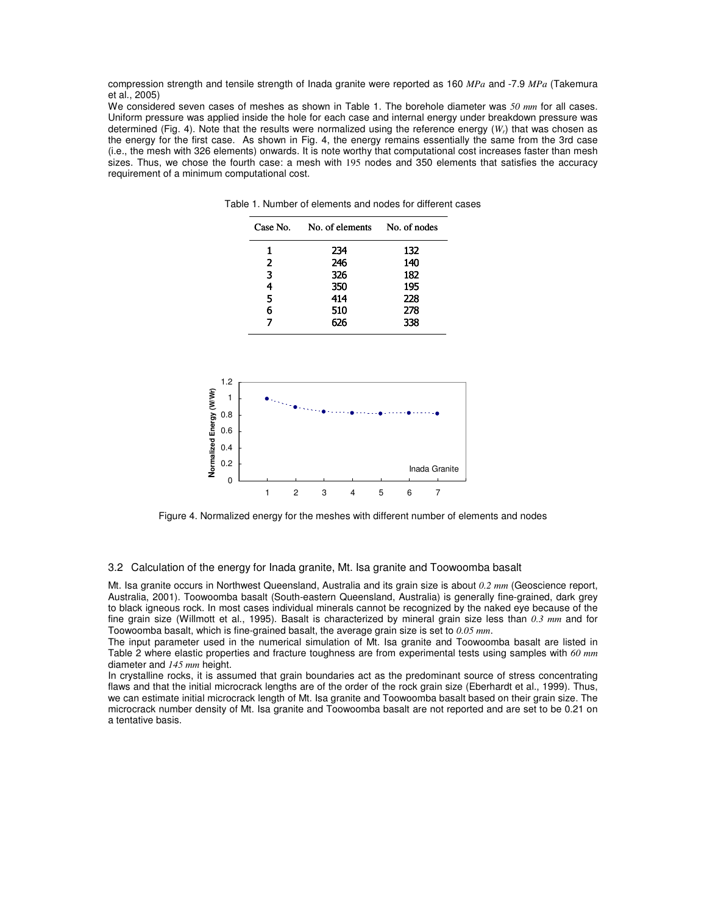compression strength and tensile strength of Inada granite were reported as 160 *MPa* and -7.9 *MPa* (Takemura et al., 2005)

We considered seven cases of meshes as shown in Table 1. The borehole diameter was *50 mm* for all cases. Uniform pressure was applied inside the hole for each case and internal energy under breakdown pressure was determined (Fig. 4). Note that the results were normalized using the reference energy (*W<sup>r</sup>* ) that was chosen as the energy for the first case. As shown in Fig. 4, the energy remains essentially the same from the 3rd case (i.e., the mesh with 326 elements) onwards. It is note worthy that computational cost increases faster than mesh sizes. Thus, we chose the fourth case: a mesh with 195 nodes and 350 elements that satisfies the accuracy requirement of a minimum computational cost.

| Case No.      | No. of elements | No. of nodes |
|---------------|-----------------|--------------|
| 1             | 234             | 132          |
| $\mathcal{P}$ | 246             | 140          |
| 3             | 326             | 182          |
| 4             | 350             | 195          |
| 5             | 414             | 228          |
| 6             | 510             | 278          |
|               |                 | 338          |

Table 1. Number of elements and nodes for different cases



Figure 4. Normalized energy for the meshes with different number of elements and nodes

# 3.2 Calculation of the energy for Inada granite, Mt. Isa granite and Toowoomba basalt

Mt. Isa granite occurs in Northwest Queensland, Australia and its grain size is about *0.2 mm* (Geoscience report, Australia, 2001). Toowoomba basalt (South-eastern Queensland, Australia) is generally fine-grained, dark grey to black igneous rock. In most cases individual minerals cannot be recognized by the naked eye because of the fine grain size (Willmott et al., 1995). Basalt is characterized by mineral grain size less than *0.3 mm* and for Toowoomba basalt, which is fine-grained basalt, the average grain size is set to *0.05 mm*.

The input parameter used in the numerical simulation of Mt. Isa granite and Toowoomba basalt are listed in Table 2 where elastic properties and fracture toughness are from experimental tests using samples with *60 mm* diameter and *145 mm* height.

In crystalline rocks, it is assumed that grain boundaries act as the predominant source of stress concentrating flaws and that the initial microcrack lengths are of the order of the rock grain size (Eberhardt et al., 1999). Thus, we can estimate initial microcrack length of Mt. Isa granite and Toowoomba basalt based on their grain size. The microcrack number density of Mt. Isa granite and Toowoomba basalt are not reported and are set to be 0.21 on a tentative basis.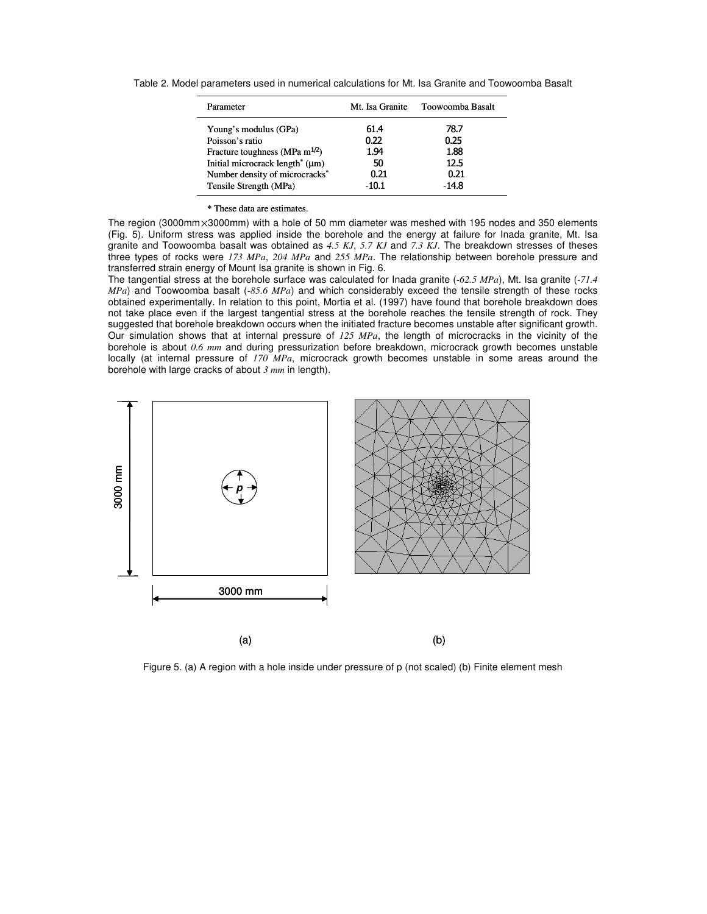Table 2. Model parameters used in numerical calculations for Mt. Isa Granite and Toowoomba Basalt

| Parameter                           | Mt. Isa Granite | Toowoomba Basalt |
|-------------------------------------|-----------------|------------------|
| Young's modulus (GPa)               | 61.4            | 78.7             |
| Poisson's ratio                     | 0.22            | 0.25             |
| Fracture toughness (MPa $m^{1/2}$ ) | 1.94            | 1.88             |
| Initial microcrack length* (µm)     | 50              | 12.5             |
| Number density of microcracks*      | 0.21            | 0.21             |
| Tensile Strength (MPa)              | $-10.1$         | $-14.8$          |

\* These data are estimates.

The region (3000mm×3000mm) with a hole of 50 mm diameter was meshed with 195 nodes and 350 elements (Fig. 5). Uniform stress was applied inside the borehole and the energy at failure for Inada granite, Mt. Isa granite and Toowoomba basalt was obtained as *4.5 KJ*, *5.7 KJ* and *7.3 KJ*. The breakdown stresses of theses three types of rocks were *173 MPa*, *204 MPa* and *255 MPa*. The relationship between borehole pressure and transferred strain energy of Mount Isa granite is shown in Fig. 6.

The tangential stress at the borehole surface was calculated for Inada granite (*-62.5 MPa*), Mt. Isa granite (*-71.4 MPa*) and Toowoomba basalt (*-85.6 MPa*) and which considerably exceed the tensile strength of these rocks obtained experimentally. In relation to this point, Mortia et al. (1997) have found that borehole breakdown does not take place even if the largest tangential stress at the borehole reaches the tensile strength of rock. They suggested that borehole breakdown occurs when the initiated fracture becomes unstable after significant growth. Our simulation shows that at internal pressure of *125 MPa*, the length of microcracks in the vicinity of the borehole is about *0.6 mm* and during pressurization before breakdown, microcrack growth becomes unstable locally (at internal pressure of *170 MPa*, microcrack growth becomes unstable in some areas around the borehole with large cracks of about *3 mm* in length).



Figure 5. (a) A region with a hole inside under pressure of p (not scaled) (b) Finite element mesh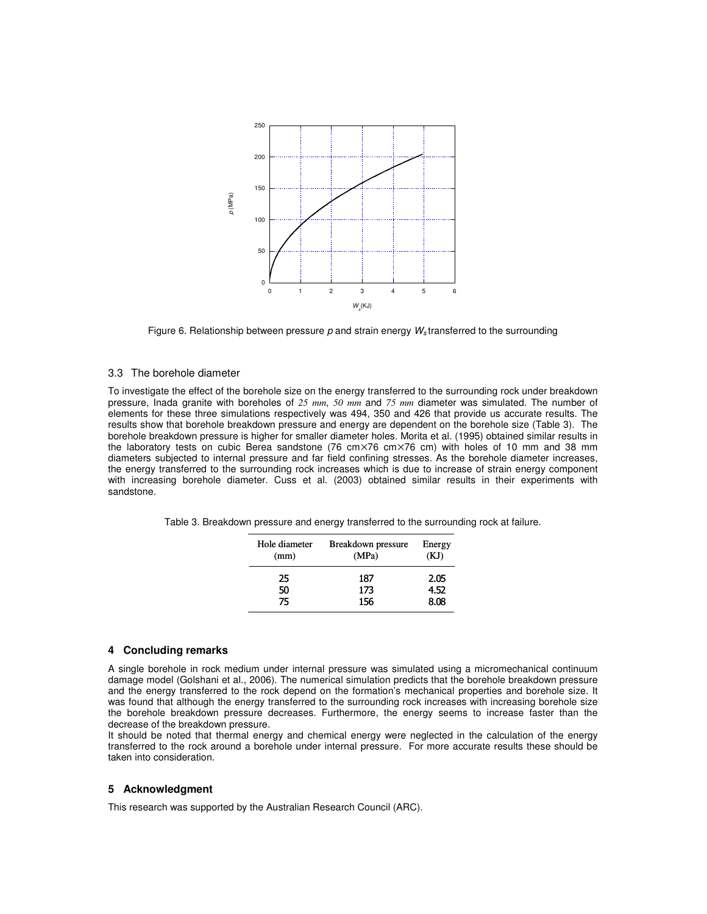

Figure 6. Relationship between pressure  $p$  and strain energy  $W_s$  transferred to the surrounding

## 3.3 The borehole diameter

To investigate the effect of the borehole size on the energy transferred to the surrounding rock under breakdown pressure, Inada granite with boreholes of *25 mm*, *50 mm* and *75 mm* diameter was simulated. The number of elements for these three simulations respectively was 494, 350 and 426 that provide us accurate results. The results show that borehole breakdown pressure and energy are dependent on the borehole size (Table 3). The borehole breakdown pressure is higher for smaller diameter holes. Morita et al. (1995) obtained similar results in the laboratory tests on cubic Berea sandstone (76 cm×76 cm×76 cm) with holes of 10 mm and 38 mm diameters subjected to internal pressure and far field confining stresses. As the borehole diameter increases, the energy transferred to the surrounding rock increases which is due to increase of strain energy component with increasing borehole diameter. Cuss et al. (2003) obtained similar results in their experiments with sandstone.

Table 3. Breakdown pressure and energy transferred to the surrounding rock at failure.

| Hole diameter | Breakdown pressure | Energy |
|---------------|--------------------|--------|
| (mm)          | (MPa)              | (KJ)   |
| 25            | 187                | 2.05   |
| 50            | 173                | 4.52   |
| 75            | 156                | 8.08   |

## **4 Concluding remarks**

A single borehole in rock medium under internal pressure was simulated using a micromechanical continuum damage model (Golshani et al., 2006). The numerical simulation predicts that the borehole breakdown pressure and the energy transferred to the rock depend on the formation's mechanical properties and borehole size. It was found that although the energy transferred to the surrounding rock increases with increasing borehole size the borehole breakdown pressure decreases. Furthermore, the energy seems to increase faster than the decrease of the breakdown pressure.

It should be noted that thermal energy and chemical energy were neglected in the calculation of the energy transferred to the rock around a borehole under internal pressure. For more accurate results these should be taken into consideration.

# **5 Acknowledgment**

This research was supported by the Australian Research Council (ARC).